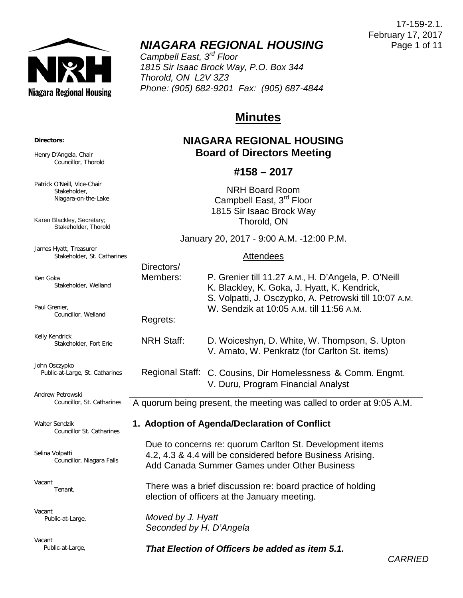

# *NIAGARA REGIONAL HOUSING*

*Campbell East, 3rd Floor 1815 Sir Isaac Brock Way, P.O. Box 344 Thorold, ON L2V 3Z3 Phone: (905) 682-9201 Fax: (905) 687-4844*

## **Minutes**

## **NIAGARA REGIONAL HOUSING Board of Directors Meeting**

## **#158 – 2017**

NRH Board Room Campbell East, 3<sup>rd</sup> Floor 1815 Sir Isaac Brock Way Thorold, ON

January 20, 2017 - 9:00 A.M. -12:00 P.M.

## **Attendees**

|            | Directors/                                                                                                                                                             |                                                                                                                                                                                                           |                |  |
|------------|------------------------------------------------------------------------------------------------------------------------------------------------------------------------|-----------------------------------------------------------------------------------------------------------------------------------------------------------------------------------------------------------|----------------|--|
| elland     | Members:                                                                                                                                                               | P. Grenier till 11.27 A.M., H. D'Angela, P. O'Neill<br>K. Blackley, K. Goka, J. Hyatt, K. Kendrick,<br>S. Volpatti, J. Osczypko, A. Petrowski till 10:07 A.M.<br>W. Sendzik at 10:05 A.M. till 11:56 A.M. |                |  |
| and        | Regrets:                                                                                                                                                               |                                                                                                                                                                                                           |                |  |
| rt Erie    | <b>NRH Staff:</b>                                                                                                                                                      | D. Woiceshyn, D. White, W. Thompson, S. Upton<br>V. Amato, W. Penkratz (for Carlton St. items)                                                                                                            |                |  |
| Catharines |                                                                                                                                                                        | Regional Staff: C. Cousins, Dir Homelessness & Comm. Engmt.<br>V. Duru, Program Financial Analyst                                                                                                         |                |  |
| atharines  | A quorum being present, the meeting was called to order at 9:05 A.M.                                                                                                   |                                                                                                                                                                                                           |                |  |
| atharines  |                                                                                                                                                                        | 1. Adoption of Agenda/Declaration of Conflict                                                                                                                                                             |                |  |
| ara Falls  | Due to concerns re: quorum Carlton St. Development items<br>4.2, 4.3 & 4.4 will be considered before Business Arising.<br>Add Canada Summer Games under Other Business |                                                                                                                                                                                                           |                |  |
|            | There was a brief discussion re: board practice of holding<br>election of officers at the January meeting.                                                             |                                                                                                                                                                                                           |                |  |
|            | Moved by J. Hyatt<br>Seconded by H. D'Angela                                                                                                                           |                                                                                                                                                                                                           |                |  |
|            |                                                                                                                                                                        | That Election of Officers be added as item 5.1.                                                                                                                                                           | <b>CARRIED</b> |  |
|            |                                                                                                                                                                        |                                                                                                                                                                                                           |                |  |

#### **Directors:**

Henry D'Angela, Chair Councillor, Thorold

Patrick O'Neill, Vice-Chair Stakeholder, Niagara-on-the-Lake

Karen Blackley, Secretary; Stakeholder, Thorold

James Hyatt, Treasurer Stakeholder, St. Catharines

Ken Goka Stakeholder, We

Paul Grenier, Councillor, Wella

Kelly Kendrick Stakeholder, For

John Osczypko Public-at-Large, St. C

Andrew Petrowski Councillor, St. C

Walter Sendzik Councillor St. Ca

Selina Volpatti Councillor, Niaga

Vacant Tenant,

Vacant Public-at-Large,

Vacant Public-at-Large,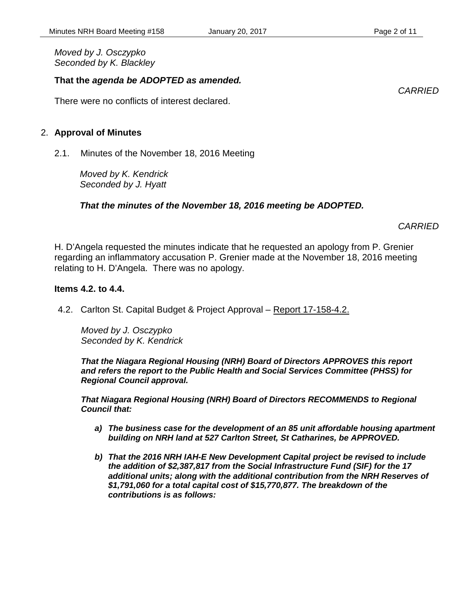*Moved by J. Osczypko Seconded by K. Blackley*

## **That the** *agenda be ADOPTED as amended.*

There were no conflicts of interest declared.

#### 2. **Approval of Minutes**

2.1. Minutes of the November 18, 2016 Meeting

*Moved by K. Kendrick Seconded by J. Hyatt*

## *That the minutes of the November 18, 2016 meeting be ADOPTED.*

*CARRIED*

H. D'Angela requested the minutes indicate that he requested an apology from P. Grenier regarding an inflammatory accusation P. Grenier made at the November 18, 2016 meeting relating to H. D'Angela. There was no apology.

#### **Items 4.2. to 4.4.**

4.2. Carlton St. Capital Budget & Project Approval – Report 17-158-4.2.

*Moved by J. Osczypko Seconded by K. Kendrick*

*That the Niagara Regional Housing (NRH) Board of Directors APPROVES this report and refers the report to the Public Health and Social Services Committee (PHSS) for Regional Council approval.* 

*That Niagara Regional Housing (NRH) Board of Directors RECOMMENDS to Regional Council that:* 

- *a) The business case for the development of an 85 unit affordable housing apartment building on NRH land at 527 Carlton Street, St Catharines, be APPROVED.*
- *b) That the 2016 NRH IAH-E New Development Capital project be revised to include the addition of \$2,387,817 from the Social Infrastructure Fund (SIF) for the 17 additional units; along with the additional contribution from the NRH Reserves of \$1,791,060 for a total capital cost of \$15,770,877. The breakdown of the contributions is as follows:*

*CARRIED*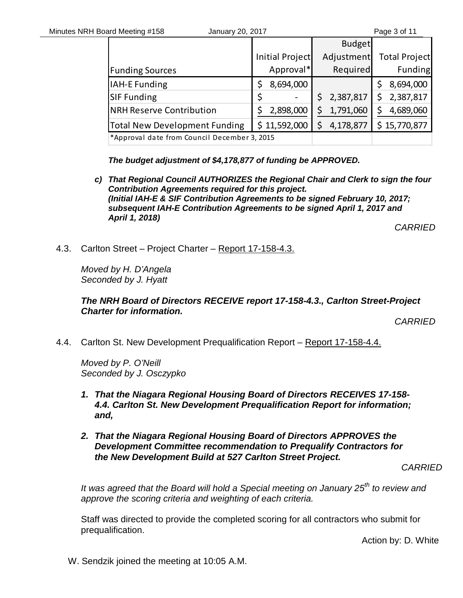|                                              |                 | <b>Budget</b> |                      |
|----------------------------------------------|-----------------|---------------|----------------------|
|                                              | Initial Project | Adjustment    | <b>Total Project</b> |
| <b>Funding Sources</b>                       | Approval*       | Required      | Funding              |
| IAH-E Funding                                | 8,694,000       |               | 8,694,000            |
| <b>SIF Funding</b>                           |                 | 2,387,817     | 2,387,817            |
| <b>NRH Reserve Contribution</b>              | 2,898,000       | 1,791,060     | 4,689,060            |
| <b>Total New Development Funding</b>         | \$11,592,000    | 4,178,877     | \$15,770,877         |
| *Approval date from Council December 3, 2015 |                 |               |                      |

*The budget adjustment of \$4,178,877 of funding be APPROVED.* 

*c) That Regional Council AUTHORIZES the Regional Chair and Clerk to sign the four Contribution Agreements required for this project. (Initial IAH-E & SIF Contribution Agreements to be signed February 10, 2017; subsequent IAH-E Contribution Agreements to be signed April 1, 2017 and April 1, 2018)*

*CARRIED*

4.3. Carlton Street – Project Charter – Report 17-158-4.3.

*Moved by H. D'Angela Seconded by J. Hyatt*

## *The NRH Board of Directors RECEIVE report 17-158-4.3., Carlton Street-Project Charter for information.*

*CARRIED*

4.4. Carlton St. New Development Prequalification Report – Report 17-158-4.4.

*Moved by P. O'Neill Seconded by J. Osczypko*

- *1. That the Niagara Regional Housing Board of Directors RECEIVES 17-158- 4.4. Carlton St. New Development Prequalification Report for information; and,*
- *2. That the Niagara Regional Housing Board of Directors APPROVES the Development Committee recommendation to Prequalify Contractors for the New Development Build at 527 Carlton Street Project.*

*CARRIED*

*It was agreed that the Board will hold a Special meeting on January 25th to review and approve the scoring criteria and weighting of each criteria.*

Staff was directed to provide the completed scoring for all contractors who submit for prequalification.

Action by: D. White

W. Sendzik joined the meeting at 10:05 A.M.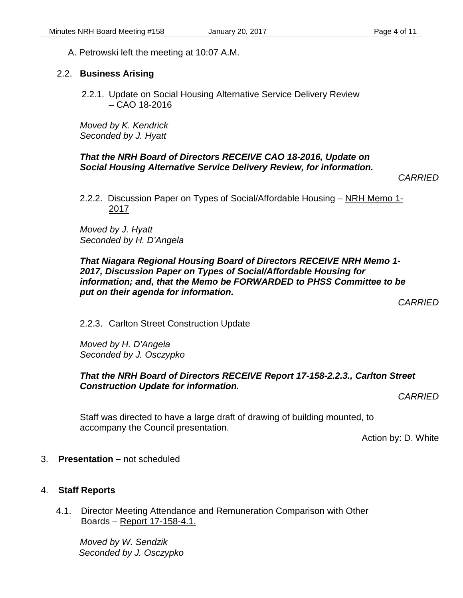## 2.2. **Business Arising**

2.2.1. Update on Social Housing Alternative Service Delivery Review – CAO 18-2016

*Moved by K. Kendrick Seconded by J. Hyatt*

## *That the NRH Board of Directors RECEIVE CAO 18-2016, Update on Social Housing Alternative Service Delivery Review, for information.*

*CARRIED*

2.2.2. Discussion Paper on Types of Social/Affordable Housing – NRH Memo 1-2017

*Moved by J. Hyatt Seconded by H. D'Angela*

*That Niagara Regional Housing Board of Directors RECEIVE NRH Memo 1- 2017, Discussion Paper on Types of Social/Affordable Housing for information; and, that the Memo be FORWARDED to PHSS Committee to be put on their agenda for information.*

*CARRIED*

2.2.3. Carlton Street Construction Update

*Moved by H. D'Angela Seconded by J. Osczypko*

## *That the NRH Board of Directors RECEIVE Report 17-158-2.2.3., Carlton Street Construction Update for information.*

*CARRIED*

Staff was directed to have a large draft of drawing of building mounted, to accompany the Council presentation.

Action by: D. White

3. **Presentation –** not scheduled

## 4. **Staff Reports**

4.1. Director Meeting Attendance and Remuneration Comparison with Other Boards – Report 17-158-4.1.

*Moved by W. Sendzik Seconded by J. Osczypko*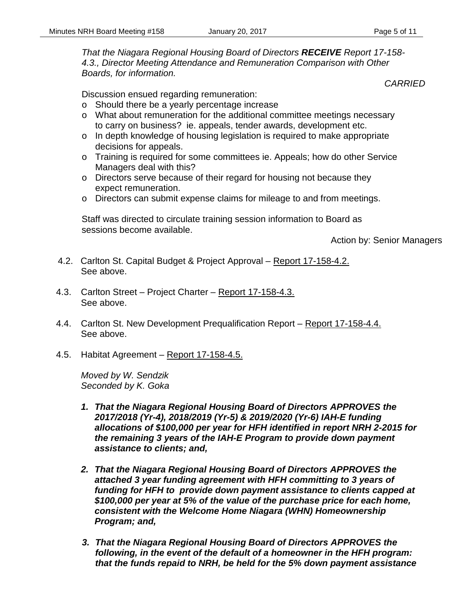*That the Niagara Regional Housing Board of Directors RECEIVE Report 17-158- 4.3., Director Meeting Attendance and Remuneration Comparison with Other Boards, for information.*

*CARRIED*

Discussion ensued regarding remuneration:

- o Should there be a yearly percentage increase
- o What about remuneration for the additional committee meetings necessary to carry on business? ie. appeals, tender awards, development etc.
- o In depth knowledge of housing legislation is required to make appropriate decisions for appeals.
- o Training is required for some committees ie. Appeals; how do other Service Managers deal with this?
- o Directors serve because of their regard for housing not because they expect remuneration.
- o Directors can submit expense claims for mileage to and from meetings.

Staff was directed to circulate training session information to Board as sessions become available.

Action by: Senior Managers

- 4.2. Carlton St. Capital Budget & Project Approval Report 17-158-4.2. See above.
- 4.3. Carlton Street Project Charter Report 17-158-4.3. See above.
- 4.4. Carlton St. New Development Prequalification Report Report 17-158-4.4. See above.
- 4.5. Habitat Agreement Report 17-158-4.5.

*Moved by W. Sendzik Seconded by K. Goka*

- *1. That the Niagara Regional Housing Board of Directors APPROVES the 2017/2018 (Yr-4), 2018/2019 (Yr-5) & 2019/2020 (Yr-6) IAH-E funding allocations of \$100,000 per year for HFH identified in report NRH 2-2015 for the remaining 3 years of the IAH-E Program to provide down payment assistance to clients; and,*
- *2. That the Niagara Regional Housing Board of Directors APPROVES the attached 3 year funding agreement with HFH committing to 3 years of funding for HFH to provide down payment assistance to clients capped at \$100,000 per year at 5% of the value of the purchase price for each home, consistent with the Welcome Home Niagara (WHN) Homeownership Program; and,*
- *3. That the Niagara Regional Housing Board of Directors APPROVES the following, in the event of the default of a homeowner in the HFH program: that the funds repaid to NRH, be held for the 5% down payment assistance*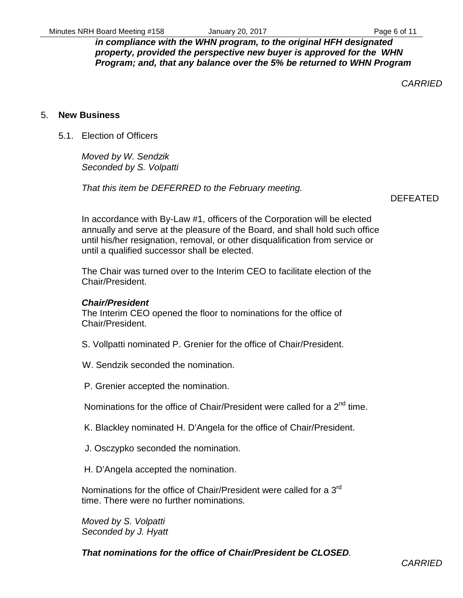*in compliance with the WHN program, to the original HFH designated property, provided the perspective new buyer is approved for the WHN Program; and, that any balance over the 5% be returned to WHN Program*

*CARRIED*

#### 5. **New Business**

5.1. Election of Officers

*Moved by W. Sendzik Seconded by S. Volpatti*

*That this item be DEFERRED to the February meeting.*

DEFEATED

In accordance with By-Law #1, officers of the Corporation will be elected annually and serve at the pleasure of the Board, and shall hold such office until his/her resignation, removal, or other disqualification from service or until a qualified successor shall be elected.

The Chair was turned over to the Interim CEO to facilitate election of the Chair/President.

#### *Chair/President*

The Interim CEO opened the floor to nominations for the office of Chair/President.

- S. Vollpatti nominated P. Grenier for the office of Chair/President.
- W. Sendzik seconded the nomination.
- P. Grenier accepted the nomination.

Nominations for the office of Chair/President were called for a 2<sup>nd</sup> time.

K. Blackley nominated H. D'Angela for the office of Chair/President.

- J. Osczypko seconded the nomination.
- H. D'Angela accepted the nomination.

Nominations for the office of Chair/President were called for a 3<sup>rd</sup> time. There were no further nominations.

*Moved by S. Volpatti Seconded by J. Hyatt*

*That nominations for the office of Chair/President be CLOSED.*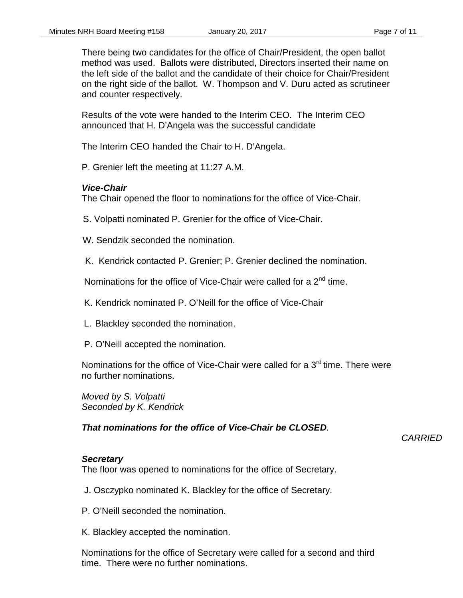There being two candidates for the office of Chair/President, the open ballot method was used. Ballots were distributed, Directors inserted their name on the left side of the ballot and the candidate of their choice for Chair/President on the right side of the ballot. W. Thompson and V. Duru acted as scrutineer and counter respectively.

Results of the vote were handed to the Interim CEO. The Interim CEO announced that H. D'Angela was the successful candidate

The Interim CEO handed the Chair to H. D'Angela.

P. Grenier left the meeting at 11:27 A.M.

#### *Vice-Chair*

The Chair opened the floor to nominations for the office of Vice-Chair.

S. Volpatti nominated P. Grenier for the office of Vice-Chair.

- W. Sendzik seconded the nomination.
- K. Kendrick contacted P. Grenier; P. Grenier declined the nomination.

Nominations for the office of Vice-Chair were called for a 2<sup>nd</sup> time.

K. Kendrick nominated P. O'Neill for the office of Vice-Chair

- L. Blackley seconded the nomination.
- P. O'Neill accepted the nomination.

Nominations for the office of Vice-Chair were called for a 3<sup>rd</sup> time. There were no further nominations.

*Moved by S. Volpatti Seconded by K. Kendrick*

*That nominations for the office of Vice-Chair be CLOSED.*

## *CARRIED*

#### *Secretary*

The floor was opened to nominations for the office of Secretary.

J. Osczypko nominated K. Blackley for the office of Secretary.

P. O'Neill seconded the nomination.

K. Blackley accepted the nomination.

Nominations for the office of Secretary were called for a second and third time. There were no further nominations.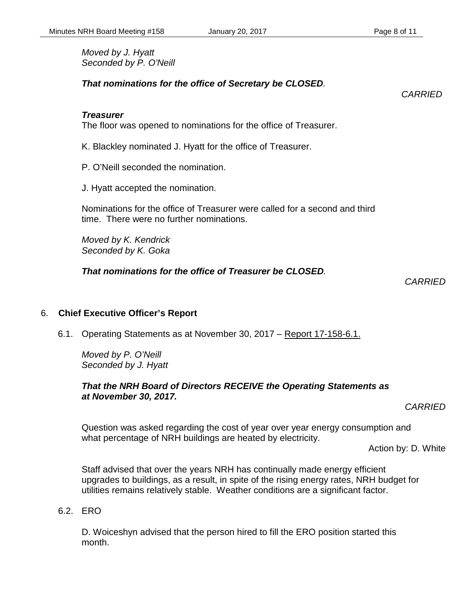*Moved by J. Hyatt Seconded by P. O'Neill*

*That nominations for the office of Secretary be CLOSED.*

#### *Treasurer*

The floor was opened to nominations for the office of Treasurer.

K. Blackley nominated J. Hyatt for the office of Treasurer.

P. O'Neill seconded the nomination.

J. Hyatt accepted the nomination.

Nominations for the office of Treasurer were called for a second and third time. There were no further nominations.

*Moved by K. Kendrick Seconded by K. Goka*

*That nominations for the office of Treasurer be CLOSED.*

*CARRIED*

## 6. **Chief Executive Officer's Report**

6.1. Operating Statements as at November 30, 2017 – Report 17-158-6.1.

*Moved by P. O'Neill Seconded by J. Hyatt*

## *That the NRH Board of Directors RECEIVE the Operating Statements as at November 30, 2017.*

*CARRIED*

Question was asked regarding the cost of year over year energy consumption and what percentage of NRH buildings are heated by electricity.

Action by: D. White

Staff advised that over the years NRH has continually made energy efficient upgrades to buildings, as a result, in spite of the rising energy rates, NRH budget for utilities remains relatively stable. Weather conditions are a significant factor.

6.2. ERO

D. Woiceshyn advised that the person hired to fill the ERO position started this month.

*CARRIED*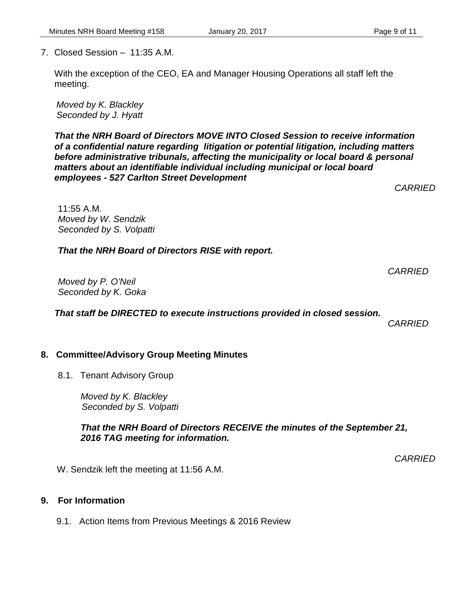7. Closed Session – 11:35 A.M.

With the exception of the CEO, EA and Manager Housing Operations all staff left the meeting.

*Moved by K. Blackley Seconded by J. Hyatt*

*That the NRH Board of Directors MOVE INTO Closed Session to receive information of a confidential nature regarding litigation or potential litigation, including matters before administrative tribunals, affecting the municipality or local board & personal matters about an identifiable individual including municipal or local board employees - 527 Carlton Street Development* 

11:55 A.M. *Moved by W. Sendzik Seconded by S. Volpatti*

*That the NRH Board of Directors RISE with report.*

*CARRIED*

*CARRIED*

*Moved by P. O'Neil Seconded by K. Goka*

*That staff be DIRECTED to execute instructions provided in closed session.*

*CARRIED*

## **8. Committee/Advisory Group Meeting Minutes**

8.1. Tenant Advisory Group

*Moved by K. Blackley Seconded by S. Volpatti*

*That the NRH Board of Directors RECEIVE the minutes of the September 21, 2016 TAG meeting for information.*

*CARRIED*

W. Sendzik left the meeting at 11:56 A.M.

## **9. For Information**

9.1. Action Items from Previous Meetings & 2016 Review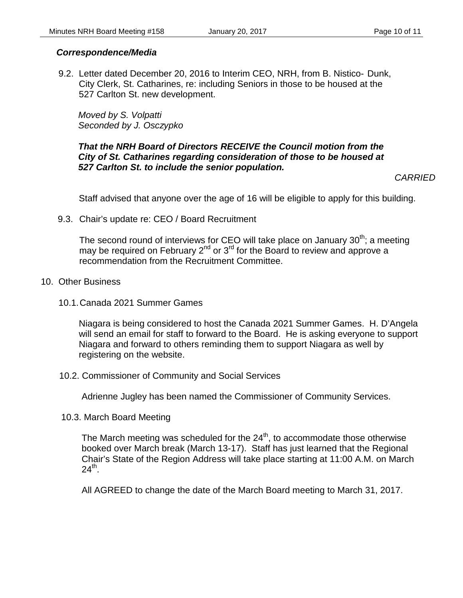## *Correspondence/Media*

9.2. Letter dated December 20, 2016 to Interim CEO, NRH, from B. Nistico- Dunk, City Clerk, St. Catharines, re: including Seniors in those to be housed at the 527 Carlton St. new development.

*Moved by S. Volpatti Seconded by J. Osczypko*

## *That the NRH Board of Directors RECEIVE the Council motion from the City of St. Catharines regarding consideration of those to be housed at 527 Carlton St. to include the senior population.*

*CARRIED*

Staff advised that anyone over the age of 16 will be eligible to apply for this building.

9.3. Chair's update re: CEO / Board Recruitment

The second round of interviews for CEO will take place on January  $30<sup>th</sup>$ ; a meeting may be required on February  $2^{nd}$  or  $3^{rd}$  for the Board to review and approve a recommendation from the Recruitment Committee.

- 10. Other Business
	- 10.1.Canada 2021 Summer Games

Niagara is being considered to host the Canada 2021 Summer Games. H. D'Angela will send an email for staff to forward to the Board. He is asking everyone to support Niagara and forward to others reminding them to support Niagara as well by registering on the website.

10.2. Commissioner of Community and Social Services

Adrienne Jugley has been named the Commissioner of Community Services.

10.3. March Board Meeting

The March meeting was scheduled for the  $24<sup>th</sup>$ , to accommodate those otherwise booked over March break (March 13-17). Staff has just learned that the Regional Chair's State of the Region Address will take place starting at 11:00 A.M. on March  $24^{\text{th}}$ .

All AGREED to change the date of the March Board meeting to March 31, 2017.